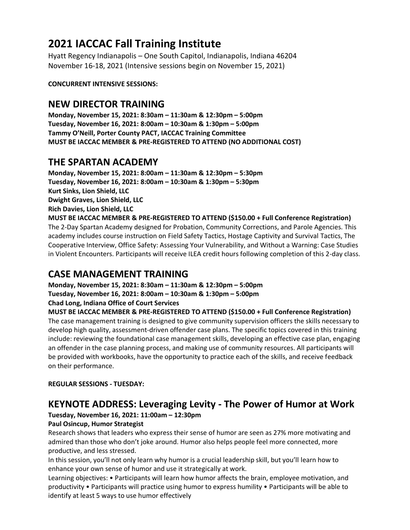# **2021 IACCAC Fall Training Institute**

Hyatt Regency Indianapolis – One South Capitol, Indianapolis, Indiana 46204 November 16-18, 2021 (Intensive sessions begin on November 15, 2021)

**CONCURRENT INTENSIVE SESSIONS:**

### **NEW DIRECTOR TRAINING**

**Monday, November 15, 2021: 8:30am – 11:30am & 12:30pm – 5:00pm Tuesday, November 16, 2021: 8:00am – 10:30am & 1:30pm – 5:00pm Tammy O'Neill, Porter County PACT, IACCAC Training Committee MUST BE IACCAC MEMBER & PRE-REGISTERED TO ATTEND (NO ADDITIONAL COST)**

# **THE SPARTAN ACADEMY**

**Monday, November 15, 2021: 8:00am – 11:30am & 12:30pm – 5:30pm Tuesday, November 16, 2021: 8:00am – 10:30am & 1:30pm – 5:30pm Kurt Sinks, Lion Shield, LLC Dwight Graves, Lion Shield, LLC Rich Davies, Lion Shield, LLC MUST BE IACCAC MEMBER & PRE-REGISTERED TO ATTEND (\$150.00 + Full Conference Registration)**

The 2-Day Spartan Academy designed for Probation, Community Corrections, and Parole Agencies. This academy includes course instruction on Field Safety Tactics, Hostage Captivity and Survival Tactics, The Cooperative Interview, Office Safety: Assessing Your Vulnerability, and Without a Warning: Case Studies in Violent Encounters. Participants will receive ILEA credit hours following completion of this 2-day class.

## **CASE MANAGEMENT TRAINING**

**Monday, November 15, 2021: 8:30am – 11:30am & 12:30pm – 5:00pm Tuesday, November 16, 2021: 8:00am – 10:30am & 1:30pm – 5:00pm Chad Long, Indiana Office of Court Services**

**MUST BE IACCAC MEMBER & PRE-REGISTERED TO ATTEND (\$150.00 + Full Conference Registration)** The case management training is designed to give community supervision officers the skills necessary to develop high quality, assessment-driven offender case plans. The specific topics covered in this training include: reviewing the foundational case management skills, developing an effective case plan, engaging an offender in the case planning process, and making use of community resources. All participants will be provided with workbooks, have the opportunity to practice each of the skills, and receive feedback on their performance.

**REGULAR SESSIONS - TUESDAY:**

## **KEYNOTE ADDRESS: Leveraging Levity - The Power of Humor at Work**

#### **Tuesday, November 16, 2021: 11:00am – 12:30pm Paul Osincup, Humor Strategist**

Research shows that leaders who express their sense of humor are seen as 27% more motivating and admired than those who don't joke around. Humor also helps people feel more connected, more productive, and less stressed.

In this session, you'll not only learn why humor is a crucial leadership skill, but you'll learn how to enhance your own sense of humor and use it strategically at work.

Learning objectives: • Participants will learn how humor affects the brain, employee motivation, and productivity • Participants will practice using humor to express humility • Participants will be able to identify at least 5 ways to use humor effectively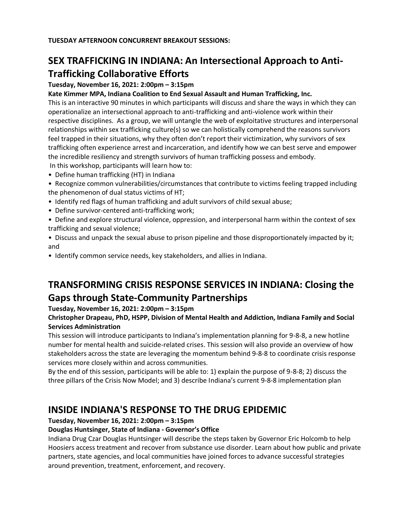## **SEX TRAFFICKING IN INDIANA: An Intersectional Approach to Anti-Trafficking Collaborative Efforts**

### **Tuesday, November 16, 2021: 2:00pm – 3:15pm**

### **Kate Kimmer MPA, Indiana Coalition to End Sexual Assault and Human Trafficking, Inc.**

This is an interactive 90 minutes in which participants will discuss and share the ways in which they can operationalize an intersectional approach to anti-trafficking and anti-violence work within their respective disciplines.  As a group, we will untangle the web of exploitative structures and interpersonal relationships within sex trafficking culture(s) so we can holistically comprehend the reasons survivors feel trapped in their situations, why they often don't report their victimization, why survivors of sex trafficking often experience arrest and incarceration, and identify how we can best serve and empower the incredible resiliency and strength survivors of human trafficking possess and embody. In this workshop, participants will learn how to:

- •  Define human trafficking (HT) in Indiana
- •  Recognize common vulnerabilities/circumstances that contribute to victims feeling trapped including the phenomenon of dual status victims of HT;
- •  Identify red flags of human trafficking and adult survivors of child sexual abuse;
- •  Define survivor-centered anti-trafficking work;

•  Define and explore structural violence, oppression, and interpersonal harm within the context of sex trafficking and sexual violence;

- •  Discuss and unpack the sexual abuse to prison pipeline and those disproportionately impacted by it; and
- •  Identify common service needs, key stakeholders, and allies in Indiana.

# **TRANSFORMING CRISIS RESPONSE SERVICES IN INDIANA: Closing the Gaps through State-Community Partnerships**

### **Tuesday, November 16, 2021: 2:00pm – 3:15pm**

#### **Christopher Drapeau, PhD, HSPP, Division of Mental Health and Addiction, Indiana Family and Social Services Administration**

This session will introduce participants to Indiana's implementation planning for 9-8-8, a new hotline number for mental health and suicide-related crises. This session will also provide an overview of how stakeholders across the state are leveraging the momentum behind 9-8-8 to coordinate crisis response services more closely within and across communities.

By the end of this session, participants will be able to: 1) explain the purpose of 9-8-8; 2) discuss the three pillars of the Crisis Now Model; and 3) describe Indiana's current 9-8-8 implementation plan

### **INSIDE INDIANA'S RESPONSE TO THE DRUG EPIDEMIC**

### **Tuesday, November 16, 2021: 2:00pm – 3:15pm**

### **Douglas Huntsinger, State of Indiana - Governor's Office**

Indiana Drug Czar Douglas Huntsinger will describe the steps taken by Governor Eric Holcomb to help Hoosiers access treatment and recover from substance use disorder. Learn about how public and private partners, state agencies, and local communities have joined forces to advance successful strategies around prevention, treatment, enforcement, and recovery.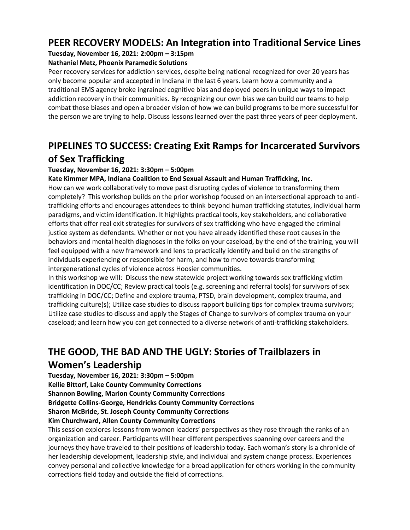### **PEER RECOVERY MODELS: An Integration into Traditional Service Lines**

### **Tuesday, November 16, 2021: 2:00pm – 3:15pm**

#### **Nathaniel Metz, Phoenix Paramedic Solutions**

Peer recovery services for addiction services, despite being national recognized for over 20 years has only become popular and accepted in Indiana in the last 6 years. Learn how a community and a traditional EMS agency broke ingrained cognitive bias and deployed peers in unique ways to impact addiction recovery in their communities. By recognizing our own bias we can build our teams to help combat those biases and open a broader vision of how we can build programs to be more successful for the person we are trying to help. Discuss lessons learned over the past three years of peer deployment.

# **PIPELINES TO SUCCESS: Creating Exit Ramps for Incarcerated Survivors of Sex Trafficking**

#### **Tuesday, November 16, 2021: 3:30pm – 5:00pm**

#### **Kate Kimmer MPA, Indiana Coalition to End Sexual Assault and Human Trafficking, Inc.**

How can we work collaboratively to move past disrupting cycles of violence to transforming them completely?  This workshop builds on the prior workshop focused on an intersectional approach to antitrafficking efforts and encourages attendees to think beyond human trafficking statutes, individual harm paradigms, and victim identification. It highlights practical tools, key stakeholders, and collaborative efforts that offer real exit strategies for survivors of sex trafficking who have engaged the criminal justice system as defendants. Whether or not you have already identified these root causes in the behaviors and mental health diagnoses in the folks on your caseload, by the end of the training, you will feel equipped with a new framework and lens to practically identify and build on the strengths of individuals experiencing or responsible for harm, and how to move towards transforming intergenerational cycles of violence across Hoosier communities. 

In this workshop we will: Discuss the new statewide project working towards sex trafficking victim identification in DOC/CC; Review practical tools (e.g. screening and referral tools) for survivors of sex trafficking in DOC/CC; Define and explore trauma, PTSD, brain development, complex trauma, and trafficking culture(s); Utilize case studies to discuss rapport building tips for complex trauma survivors; Utilize case studies to discuss and apply the Stages of Change to survivors of complex trauma on your caseload; and learn how you can get connected to a diverse network of anti-trafficking stakeholders.

### **THE GOOD, THE BAD AND THE UGLY: Stories of Trailblazers in Women's Leadership**

**Tuesday, November 16, 2021: 3:30pm – 5:00pm Kellie Bittorf, Lake County Community Corrections Shannon Bowling, Marion County Community Corrections Bridgette Collins-George, Hendricks County Community Corrections Sharon McBride, St. Joseph County Community Corrections**

### **Kim Churchward, Allen County Community Corrections**

This session explores lessons from women leaders' perspectives as they rose through the ranks of an organization and career. Participants will hear different perspectives spanning over careers and the journeys they have traveled to their positions of leadership today. Each woman's story is a chronicle of her leadership development, leadership style, and individual and system change process. Experiences convey personal and collective knowledge for a broad application for others working in the community corrections field today and outside the field of corrections.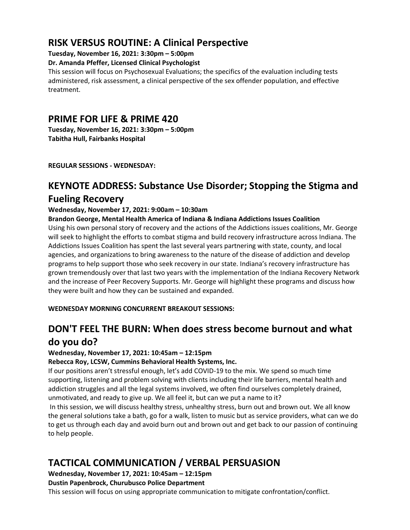### **RISK VERSUS ROUTINE: A Clinical Perspective**

**Tuesday, November 16, 2021: 3:30pm – 5:00pm**

#### **Dr. Amanda Pfeffer, Licensed Clinical Psychologist**

This session will focus on Psychosexual Evaluations; the specifics of the evaluation including tests administered, risk assessment, a clinical perspective of the sex offender population, and effective treatment.

### **PRIME FOR LIFE & PRIME 420**

**Tuesday, November 16, 2021: 3:30pm – 5:00pm Tabitha Hull, Fairbanks Hospital**

**REGULAR SESSIONS - WEDNESDAY:**

# **KEYNOTE ADDRESS: Substance Use Disorder; Stopping the Stigma and Fueling Recovery**

#### **Wednesday, November 17, 2021: 9:00am – 10:30am**

#### **Brandon George, Mental Health America of Indiana & Indiana Addictions Issues Coalition**

Using his own personal story of recovery and the actions of the Addictions issues coalitions, Mr. George will seek to highlight the efforts to combat stigma and build recovery infrastructure across Indiana. The Addictions Issues Coalition has spent the last several years partnering with state, county, and local agencies, and organizations to bring awareness to the nature of the disease of addiction and develop programs to help support those who seek recovery in our state. Indiana's recovery infrastructure has grown tremendously over that last two years with the implementation of the Indiana Recovery Network and the increase of Peer Recovery Supports. Mr. George will highlight these programs and discuss how they were built and how they can be sustained and expanded.

**WEDNESDAY MORNING CONCURRENT BREAKOUT SESSIONS:**

# **DON'T FEEL THE BURN: When does stress become burnout and what do you do?**

#### **Wednesday, November 17, 2021: 10:45am – 12:15pm**

#### **Rebecca Roy, LCSW, Cummins Behavioral Health Systems, Inc.**

If our positions aren't stressful enough, let's add COVID-19 to the mix. We spend so much time supporting, listening and problem solving with clients including their life barriers, mental health and addiction struggles and all the legal systems involved, we often find ourselves completely drained, unmotivated, and ready to give up. We all feel it, but can we put a name to it?

In this session, we will discuss healthy stress, unhealthy stress, burn out and brown out. We all know the general solutions take a bath, go for a walk, listen to music but as service providers, what can we do to get us through each day and avoid burn out and brown out and get back to our passion of continuing to help people.

## **TACTICAL COMMUNICATION / VERBAL PERSUASION**

**Wednesday, November 17, 2021: 10:45am – 12:15pm**

**Dustin Papenbrock, Churubusco Police Department**

This session will focus on using appropriate communication to mitigate confrontation/conflict.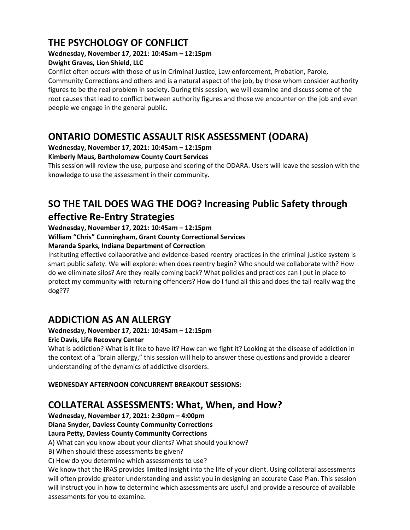## **THE PSYCHOLOGY OF CONFLICT**

### **Wednesday, November 17, 2021: 10:45am – 12:15pm**

### **Dwight Graves, Lion Shield, LLC**

Conflict often occurs with those of us in Criminal Justice, Law enforcement, Probation, Parole, Community Corrections and others and is a natural aspect of the job, by those whom consider authority figures to be the real problem in society. During this session, we will examine and discuss some of the root causes that lead to conflict between authority figures and those we encounter on the job and even people we engage in the general public.

# **ONTARIO DOMESTIC ASSAULT RISK ASSESSMENT (ODARA)**

# **Wednesday, November 17, 2021: 10:45am – 12:15pm**

#### **Kimberly Maus, Bartholomew County Court Services**

This session will review the use, purpose and scoring of the ODARA. Users will leave the session with the knowledge to use the assessment in their community.

# **SO THE TAIL DOES WAG THE DOG? Increasing Public Safety through effective Re-Entry Strategies**

**Wednesday, November 17, 2021: 10:45am – 12:15pm**

### **William "Chris" Cunningham, Grant County Correctional Services**

### **Maranda Sparks, Indiana Department of Correction**

Instituting effective collaborative and evidence-based reentry practices in the criminal justice system is smart public safety. We will explore: when does reentry begin? Who should we collaborate with? How do we eliminate silos? Are they really coming back? What policies and practices can I put in place to protect my community with returning offenders? How do I fund all this and does the tail really wag the dog???

### **ADDICTION AS AN ALLERGY**

### **Wednesday, November 17, 2021: 10:45am – 12:15pm**

### **Eric Davis, Life Recovery Center**

What is addiction? What is it like to have it? How can we fight it? Looking at the disease of addiction in the context of a "brain allergy," this session will help to answer these questions and provide a clearer understanding of the dynamics of addictive disorders.

### **WEDNESDAY AFTERNOON CONCURRENT BREAKOUT SESSIONS:**

### **COLLATERAL ASSESSMENTS: What, When, and How?**

**Wednesday, November 17, 2021: 2:30pm – 4:00pm**

### **Diana Snyder, Daviess County Community Corrections**

### **Laura Petty, Daviess County Community Corrections**

A) What can you know about your clients? What should you know?

B) When should these assessments be given?

C) How do you determine which assessments to use?

We know that the IRAS provides limited insight into the life of your client. Using collateral assessments will often provide greater understanding and assist you in designing an accurate Case Plan. This session will instruct you in how to determine which assessments are useful and provide a resource of available assessments for you to examine.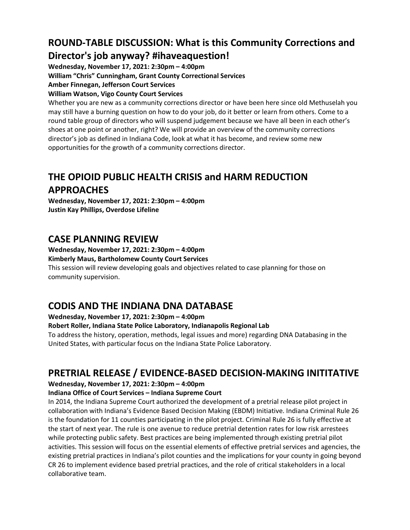# **ROUND-TABLE DISCUSSION: What is this Community Corrections and Director's job anyway? #ihaveaquestion!**

**Wednesday, November 17, 2021: 2:30pm – 4:00pm**

**William "Chris" Cunningham, Grant County Correctional Services**

**Amber Finnegan, Jefferson Court Services**

#### **William Watson, Vigo County Court Services**

Whether you are new as a community corrections director or have been here since old Methuselah you may still have a burning question on how to do your job, do it better or learn from others. Come to a round table group of directors who will suspend judgement because we have all been in each other's shoes at one point or another, right? We will provide an overview of the community corrections director's job as defined in Indiana Code, look at what it has become, and review some new opportunities for the growth of a community corrections director.

# **THE OPIOID PUBLIC HEALTH CRISIS and HARM REDUCTION APPROACHES**

**Wednesday, November 17, 2021: 2:30pm – 4:00pm Justin Kay Phillips, Overdose Lifeline**

### **CASE PLANNING REVIEW**

#### **Wednesday, November 17, 2021: 2:30pm – 4:00pm**

**Kimberly Maus, Bartholomew County Court Services**

This session will review developing goals and objectives related to case planning for those on community supervision.

### **CODIS AND THE INDIANA DNA DATABASE**

**Wednesday, November 17, 2021: 2:30pm – 4:00pm**

#### **Robert Roller, Indiana State Police Laboratory, Indianapolis Regional Lab**

To address the history, operation, methods, legal issues and more) regarding DNA Databasing in the United States, with particular focus on the Indiana State Police Laboratory.

### **PRETRIAL RELEASE / EVIDENCE-BASED DECISION-MAKING INITITATIVE**

**Wednesday, November 17, 2021: 2:30pm – 4:00pm**

#### **Indiana Office of Court Services – Indiana Supreme Court**

In 2014, the Indiana Supreme Court authorized the development of a pretrial release pilot project in collaboration with Indiana's Evidence Based Decision Making (EBDM) Initiative. Indiana Criminal Rule 26 is the foundation for 11 counties participating in the pilot project. Criminal Rule 26 is fully effective at the start of next year. The rule is one avenue to reduce pretrial detention rates for low risk arrestees while protecting public safety. Best practices are being implemented through existing pretrial pilot activities. This session will focus on the essential elements of effective pretrial services and agencies, the existing pretrial practices in Indiana's pilot counties and the implications for your county in going beyond CR 26 to implement evidence based pretrial practices, and the role of critical stakeholders in a local collaborative team.